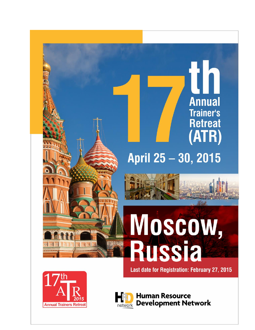# April 25 - 30, 2015

H

**Annual** 

**Trainer's** 

**Retreat** 

(ATR)

# Moscow, **Russia**

Last date for Registration: February 27, 2015



**Human Resource Development Network** network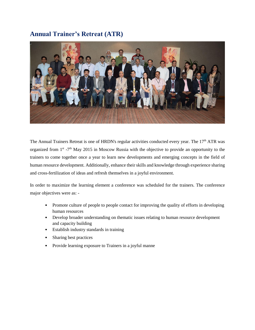# **Annual Trainer's Retreat (ATR)**



The Annual Trainers Retreat is one of HRDN's regular activities conducted every year. The 17<sup>th</sup> ATR was organized from  $1<sup>st</sup> - 7<sup>th</sup>$  May 2015 in Moscow Russia with the objective to provide an opportunity to the trainers to come together once a year to learn new developments and emerging concepts in the field of human resource development. Additionally, enhance their skills and knowledge through experience sharing and cross-fertilization of ideas and refresh themselves in a joyful environment.

In order to maximize the learning element a conference was scheduled for the trainers. The conference major objectives were as: -

- Promote culture of people to people contact for improving the quality of efforts in developing human resources
- Develop broader understanding on thematic issues relating to human resource development and capacity building
- Establish industry standards in training
- Sharing best practices
- Provide learning exposure to Trainers in a joyful manne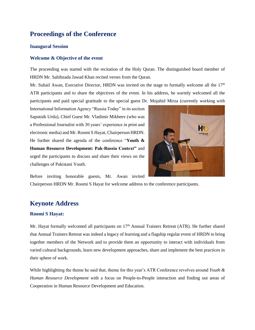### **Proceedings of the Conference**

#### **Inaugural Session**

#### **Welcome & Objective of the event**

The proceeding was started with the recitation of the Holy Quran. The distinguished board member of HRDN Mr. Sahibzada Jawad Khan recited verses from the Quran.

Mr. Suhail Awan, Executive Director, HRDN was invited on the stage to formally welcome all the  $17<sup>th</sup>$ ATR participants and to share the objectives of the event. In his address, he warmly welcomed all the participants and paid special gratitude to the special guest Dr. Mojahid Mirza (currently working with

International Information Agency "Russia Today" in its section Saputnik Urdu), Chief Guest Mr. Vladimir Mikheev (who was a Professional Journalist with 30 years' experience in print and electronic media) and Mr. Roomi S Hayat, Chairperson HRDN. He further shared the agenda of the conference "**Youth & Human Resource Development: Pak-Russia Context"** and urged the participants to discuss and share their views on the challenges of Pakistani Youth.



Before inviting honorable guests, Mr. Awan invited

Chairperson HRDN Mr. Roomi S Hayat for welcome address to the conference participants.

#### **Keynote Address**

#### **Roomi S Hayat:**

Mr. Hayat formally welcomed all participants on 17<sup>th</sup> Annual Trainers Retreat (ATR). He further shared that Annual Trainers Retreat was indeed a legacy of learning and a flagship regular event of HRDN to bring together members of the Network and to provide them an opportunity to interact with individuals from varied cultural backgrounds, learn new development approaches, share and implement the best practices in their sphere of work.

While highlighting the theme he said that, theme for this year's ATR Conference revolves around *Youth & Human Resource Development* with a focus on People-to-People interaction and finding out areas of Cooperation in Human Resource Development and Education.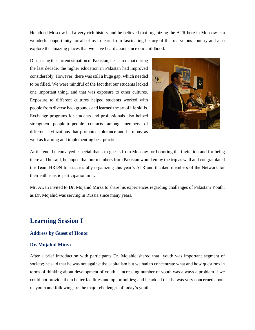He added Moscow had a very rich history and he believed that organizing the ATR here in Moscow is a wonderful opportunity for all of us to learn from fascinating history of this marvelous country and also explore the amazing places that we have heard about since our childhood.

Discussing the current situation of Pakistan, he shared that during the last decade, the higher education in Pakistan had improved considerably. However, there was still a huge gap, which needed to be filled. We were mindful of the fact that our students lacked one important thing, and that was exposure to other cultures. Exposure to different cultures helped students worked with people from diverse backgrounds and learned the art of life skills. Exchange programs for students and professionals also helped strengthen people-to-people contacts among members of different civilizations that promoted tolerance and harmony as well as learning and implementing best practices.



At the end, he conveyed especial thank to guests from Moscow for honoring the invitation and for being there and he said, he hoped that our members from Pakistan would enjoy the trip as well and congratulated the Team HRDN for successfully organizing this year's ATR and thanked members of the Network for their enthusiastic participation in it.

Mr. Awan invited to Dr. Mojahid Mirza to share his experiences regarding challenges of Pakistani Youth; as Dr. Mojahid was serving in Russia since many years.

## **Learning Session I**

#### **Address by Guest of Honor**

#### **Dr. Mojahid Mirza**

After a brief introduction with participants Dr. Mojahid shared that youth was important segment of society; he said that he was not against the capitalism but we had to concentrate what and how questions in terms of thinking about development of youth. . Increasing number of youth was always a problem if we could not provide them better facilities and opportunities; and he added that he was very concerned about its youth and following are the major challenges of today's youth:-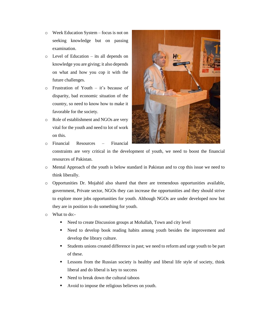- o Week Education System focus is not on seeking knowledge but on passing examination.
- o Level of Education its all depends on knowledge you are giving; it also depends on what and how you cop it with the future challenges.
- o Frustration of Youth it's because of disparity, bad economic situation of the country, so need to know how to make it favorable for the society.
- o Role of establishment and NGOs are very vital for the youth and need to lot of work on this.





- constraints are very critical in the development of youth, we need to boost the financial resources of Pakistan.
- o Mental Approach of the youth is below standard in Pakistan and to cop this issue we need to think liberally.
- o Opportunities Dr. Mojahid also shared that there are tremendous opportunities available, government, Private sector, NGOs they can increase the opportunities and they should strive to explore more jobs opportunities for youth. Although NGOs are under developed now but they are in position to do something for youth.
- o What to do:-
	- Need to create Discussion groups at Mohallah, Town and city level
	- Need to develop book reading habits among youth besides the improvement and develop the library culture.
	- Students unions created difference in past; we need to reform and urge youth to be part of these.
	- **EXECUTE:** Lessons from the Russian society is healthy and liberal life style of society, think liberal and do liberal is key to success
	- Need to break down the cultural taboos
	- Avoid to impose the religious believes on youth.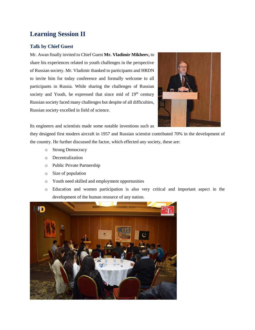# **Learning Session II**

#### **Talk by Chief Guest**

Mr. Awan finally invited to Chief Guest **Mr. Vladimir Mikheev,** to share his experiences related to youth challenges in the perspective of Russian society. Mr. Vladimir thanked to participants and HRDN to invite him for today conference and formally welcome to all participants in Russia. While sharing the challenges of Russian society and Youth, he expressed that since mid of 19<sup>th</sup> century Russian society faced many challenges but despite of all difficulties, Russian society excelled in field of science.



Its engineers and scientists made some notable inventions such as

they designed first modern aircraft in 1957 and Russian scientist contributed 70% in the development of the country. He further discussed the factor, which effected any society, these are:

- o Strong Democracy
- o Decentralization
- o Public Private Partnership
- o Size of population
- o Youth need skilled and employment opportunities
- o Education and women participation is also very critical and important aspect in the development of the human resource of any nation.